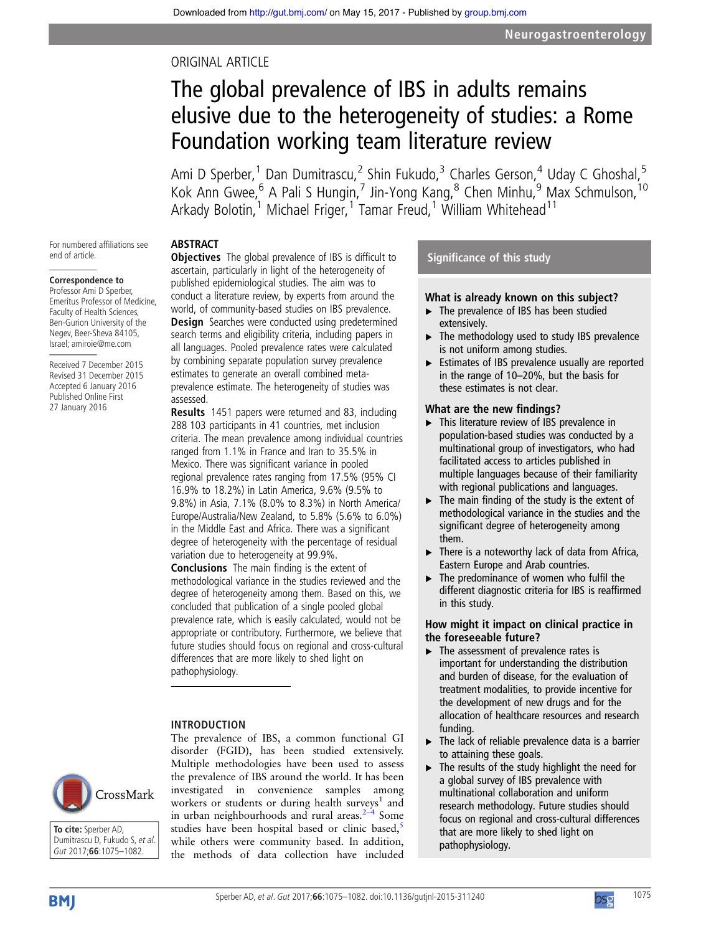## ORIGINAL ARTICLE

# The global prevalence of IBS in adults remains elusive due to the heterogeneity of studies: a Rome Foundation working team literature review

Ami D Sperber,<sup>1</sup> Dan Dumitrascu,<sup>2</sup> Shin Fukudo,<sup>3</sup> Charles Gerson,<sup>4</sup> Uday C Ghoshal,<sup>5</sup> Kok Ann Gwee,<sup>6</sup> A Pali S Hungin,<sup>7</sup> Jin-Yong Kang,<sup>8</sup> Chen Minhu,<sup>9</sup> Max Schmulson, <sup>10</sup> Arkady Bolotin,<sup>1</sup> Michael Friger,<sup>1</sup> Tamar Freud,<sup>1</sup> William Whitehead<sup>11</sup>

## ABSTRACT

For numbered affiliations see end of article.

## **Correspondence to**

Professor Ami D Sperber, Emeritus Professor of Medicine, Faculty of Health Sciences, Ben-Gurion University of the Negev, Beer-Sheva 84105, Israel; amiroie@me.com

Received 7 December 2015 Revised 31 December 2015 Accepted 6 January 2016 Published Online First 27 January 2016

**Objectives** The global prevalence of IBS is difficult to ascertain, particularly in light of the heterogeneity of published epidemiological studies. The aim was to conduct a literature review, by experts from around the world, of community-based studies on IBS prevalence. Design Searches were conducted using predetermined search terms and eligibility criteria, including papers in all languages. Pooled prevalence rates were calculated by combining separate population survey prevalence estimates to generate an overall combined metaprevalence estimate. The heterogeneity of studies was assessed.

Results 1451 papers were returned and 83, including 288 103 participants in 41 countries, met inclusion criteria. The mean prevalence among individual countries ranged from 1.1% in France and Iran to 35.5% in Mexico. There was significant variance in pooled regional prevalence rates ranging from 17.5% (95% CI 16.9% to 18.2%) in Latin America, 9.6% (9.5% to 9.8%) in Asia, 7.1% (8.0% to 8.3%) in North America/ Europe/Australia/New Zealand, to 5.8% (5.6% to 6.0%) in the Middle East and Africa. There was a significant degree of heterogeneity with the percentage of residual variation due to heterogeneity at 99.9%.

Conclusions The main finding is the extent of methodological variance in the studies reviewed and the degree of heterogeneity among them. Based on this, we concluded that publication of a single pooled global prevalence rate, which is easily calculated, would not be appropriate or contributory. Furthermore, we believe that future studies should focus on regional and cross-cultural differences that are more likely to shed light on pathophysiology.

## INTRODUCTION



| To cite: Sperber AD,           |
|--------------------------------|
| Dumitrascu D. Fukudo S. et al. |
| Gut 2017:66:1075-1082.         |

The prevalence of IBS, a common functional GI disorder (FGID), has been studied extensively. Multiple methodologies have been used to assess the prevalence of IBS around the world. It has been investigated in convenience samples among workers or students or during health surveys<sup>[1](#page-5-0)</sup> and in urban neighbourhoods and rural areas. $2\frac{1}{4}$  $2\frac{1}{4}$  $2\frac{1}{4}$  Some studies have been hospital based or clinic based,<sup>[5](#page-5-0)</sup> while others were community based. In addition, the methods of data collection have included

## Significance of this study

## What is already known on this subject?

- ▸ The prevalence of IBS has been studied extensively.
- ▶ The methodology used to study IBS prevalence is not uniform among studies.
- ▸ Estimates of IBS prevalence usually are reported in the range of 10–20%, but the basis for these estimates is not clear.

#### What are the new findings?

- ▸ This literature review of IBS prevalence in population-based studies was conducted by a multinational group of investigators, who had facilitated access to articles published in multiple languages because of their familiarity with regional publications and languages.
- $\triangleright$  The main finding of the study is the extent of methodological variance in the studies and the significant degree of heterogeneity among them.
- $\blacktriangleright$  There is a noteworthy lack of data from Africa, Eastern Europe and Arab countries.
- ▶ The predominance of women who fulfil the different diagnostic criteria for IBS is reaffirmed in this study.

#### How might it impact on clinical practice in the foreseeable future?

- $\blacktriangleright$  The assessment of prevalence rates is important for understanding the distribution and burden of disease, for the evaluation of treatment modalities, to provide incentive for the development of new drugs and for the allocation of healthcare resources and research funding.
- $\blacktriangleright$  The lack of reliable prevalence data is a barrier to attaining these goals.
- $\blacktriangleright$  The results of the study highlight the need for a global survey of IBS prevalence with multinational collaboration and uniform research methodology. Future studies should focus on regional and cross-cultural differences that are more likely to shed light on pathophysiology.

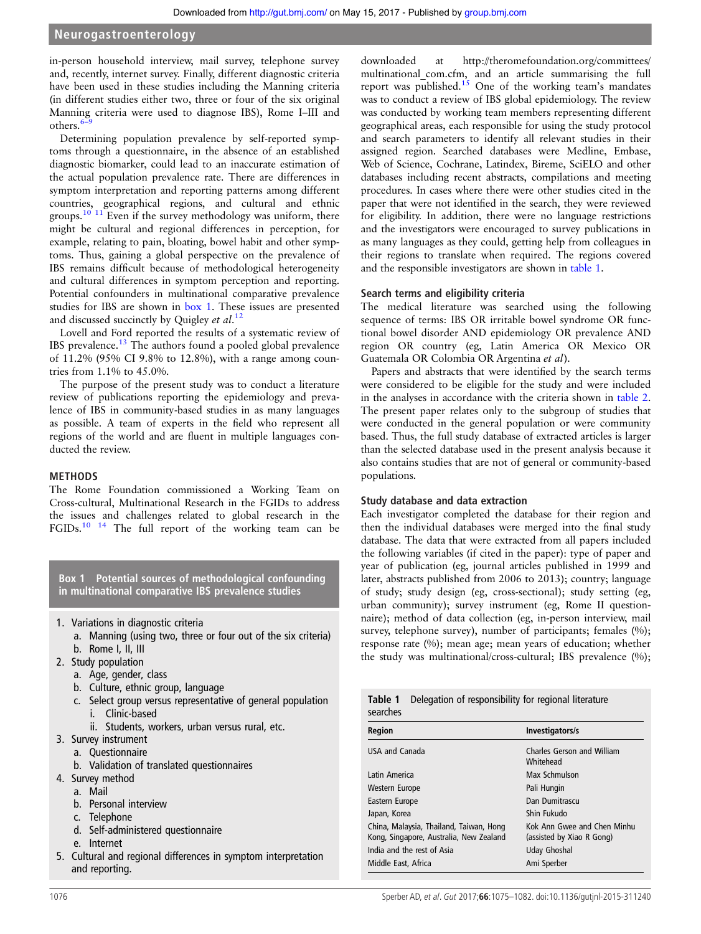in-person household interview, mail survey, telephone survey and, recently, internet survey. Finally, different diagnostic criteria have been used in these studies including the Manning criteria (in different studies either two, three or four of the six original Manning criteria were used to diagnose IBS), Rome I–III and others. $<sup>6</sup>$  $<sup>6</sup>$  $<sup>6</sup>$ </sup>

Determining population prevalence by self-reported symptoms through a questionnaire, in the absence of an established diagnostic biomarker, could lead to an inaccurate estimation of the actual population prevalence rate. There are differences in symptom interpretation and reporting patterns among different countries, geographical regions, and cultural and ethnic groups.<sup>[10 11](#page-5-0)</sup> Even if the survey methodology was uniform, there might be cultural and regional differences in perception, for example, relating to pain, bloating, bowel habit and other symptoms. Thus, gaining a global perspective on the prevalence of IBS remains difficult because of methodological heterogeneity and cultural differences in symptom perception and reporting. Potential confounders in multinational comparative prevalence studies for IBS are shown in box 1. These issues are presented and discussed succinctly by Quigley et  $al$ .<sup>[12](#page-5-0)</sup>

Lovell and Ford reported the results of a systematic review of IBS prevalence.[13](#page-5-0) The authors found a pooled global prevalence of 11.2% (95% CI 9.8% to 12.8%), with a range among countries from 1.1% to 45.0%.

The purpose of the present study was to conduct a literature review of publications reporting the epidemiology and prevalence of IBS in community-based studies in as many languages as possible. A team of experts in the field who represent all regions of the world and are fluent in multiple languages conducted the review.

## METHODS

The Rome Foundation commissioned a Working Team on Cross-cultural, Multinational Research in the FGIDs to address the issues and challenges related to global research in the FGIDs.<sup>10</sup> <sup>14</sup> The full report of the working team can be

Box 1 Potential sources of methodological confounding in multinational comparative IBS prevalence studies

- 1. Variations in diagnostic criteria
	- a. Manning (using two, three or four out of the six criteria) b. Rome I, II, III
- 2. Study population
	- a. Age, gender, class
	-
	- b. Culture, ethnic group, language
	- c. Select group versus representative of general population i. Clinic-based
		- ii. Students, workers, urban versus rural, etc.
- 3. Survey instrument
- a. Questionnaire
	- b. Validation of translated questionnaires
- 4. Survey method
	- a. Mail
	- b. Personal interview
	- c. Telephone
	- d. Self-administered questionnaire
	- e. Internet
- 5. Cultural and regional differences in symptom interpretation and reporting.

downloaded at [http://theromefoundation.org/committees/](http://theromefoundation.org/committees/multinational_com.cfm) multinational com.cfm, and an article summarising the full report was published.<sup>[15](#page-5-0)</sup> One of the working team's mandates was to conduct a review of IBS global epidemiology. The review was conducted by working team members representing different geographical areas, each responsible for using the study protocol and search parameters to identify all relevant studies in their assigned region. Searched databases were Medline, Embase, Web of Science, Cochrane, Latindex, Bireme, SciELO and other databases including recent abstracts, compilations and meeting procedures. In cases where there were other studies cited in the paper that were not identified in the search, they were reviewed for eligibility. In addition, there were no language restrictions and the investigators were encouraged to survey publications in as many languages as they could, getting help from colleagues in their regions to translate when required. The regions covered and the responsible investigators are shown in table 1.

## Search terms and eligibility criteria

The medical literature was searched using the following sequence of terms: IBS OR irritable bowel syndrome OR functional bowel disorder AND epidemiology OR prevalence AND region OR country (eg, Latin America OR Mexico OR Guatemala OR Colombia OR Argentina et al).

Papers and abstracts that were identified by the search terms were considered to be eligible for the study and were included in the analyses in accordance with the criteria shown in [table 2.](#page-2-0) The present paper relates only to the subgroup of studies that were conducted in the general population or were community based. Thus, the full study database of extracted articles is larger than the selected database used in the present analysis because it also contains studies that are not of general or community-based populations.

## Study database and data extraction

Each investigator completed the database for their region and then the individual databases were merged into the final study database. The data that were extracted from all papers included the following variables (if cited in the paper): type of paper and year of publication (eg, journal articles published in 1999 and later, abstracts published from 2006 to 2013); country; language of study; study design (eg, cross-sectional); study setting (eg, urban community); survey instrument (eg, Rome II questionnaire); method of data collection (eg, in-person interview, mail survey, telephone survey), number of participants; females (%); response rate (%); mean age; mean years of education; whether the study was multinational/cross-cultural; IBS prevalence (%);

| Delegation of responsibility for regional literature<br>Table 1<br>searches        |                                                          |  |  |
|------------------------------------------------------------------------------------|----------------------------------------------------------|--|--|
| <b>Region</b>                                                                      | Investigators/s                                          |  |  |
| USA and Canada                                                                     | Charles Gerson and William<br>Whitehead                  |  |  |
| Latin America                                                                      | Max Schmulson                                            |  |  |
| Western Europe                                                                     | Pali Hungin                                              |  |  |
| Eastern Europe                                                                     | Dan Dumitrascu                                           |  |  |
| Japan, Korea                                                                       | Shin Fukudo                                              |  |  |
| China, Malaysia, Thailand, Taiwan, Hong<br>Kong, Singapore, Australia, New Zealand | Kok Ann Gwee and Chen Minhu<br>(assisted by Xiao R Gong) |  |  |
| India and the rest of Asia                                                         | Uday Ghoshal                                             |  |  |
| Middle East, Africa<br>Ami Sperber                                                 |                                                          |  |  |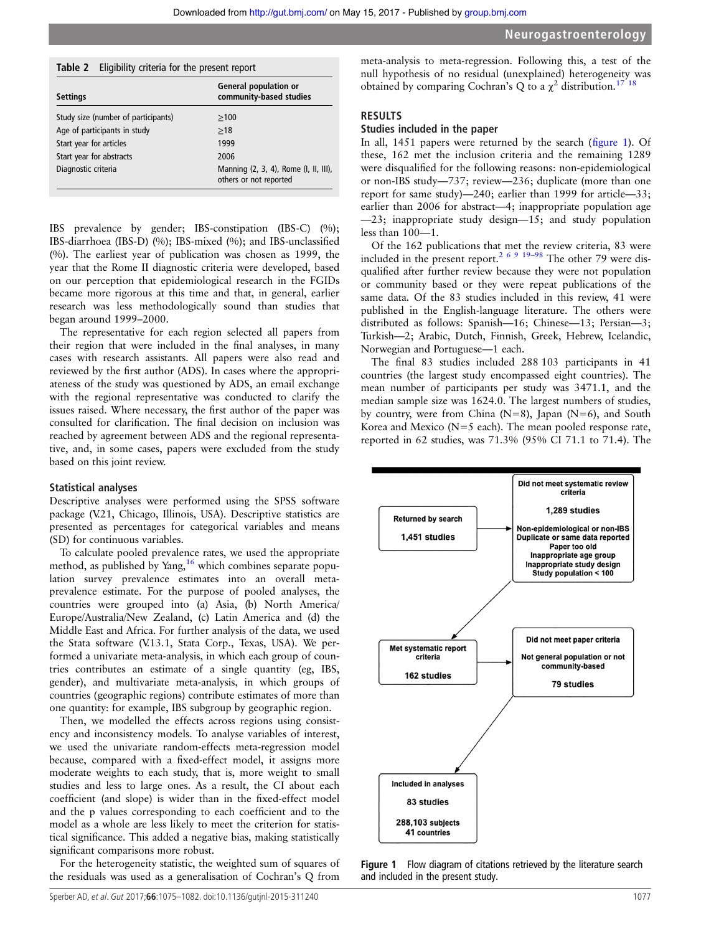<span id="page-2-0"></span>

| Table 2 |  |  |  | Eligibility criteria for the present report |
|---------|--|--|--|---------------------------------------------|
|---------|--|--|--|---------------------------------------------|

| <b>Settings</b>                     | <b>General population or</b><br>community-based studies         |
|-------------------------------------|-----------------------------------------------------------------|
| Study size (number of participants) | >100                                                            |
| Age of participants in study        | >18                                                             |
| Start year for articles             | 1999                                                            |
| Start year for abstracts            | 2006                                                            |
| Diagnostic criteria                 | Manning (2, 3, 4), Rome (I, II, III),<br>others or not reported |

IBS prevalence by gender; IBS-constipation (IBS-C) (%); IBS-diarrhoea (IBS-D) (%); IBS-mixed (%); and IBS-unclassified (%). The earliest year of publication was chosen as 1999, the year that the Rome II diagnostic criteria were developed, based on our perception that epidemiological research in the FGIDs became more rigorous at this time and that, in general, earlier research was less methodologically sound than studies that began around 1999–2000.

The representative for each region selected all papers from their region that were included in the final analyses, in many cases with research assistants. All papers were also read and reviewed by the first author (ADS). In cases where the appropriateness of the study was questioned by ADS, an email exchange with the regional representative was conducted to clarify the issues raised. Where necessary, the first author of the paper was consulted for clarification. The final decision on inclusion was reached by agreement between ADS and the regional representative, and, in some cases, papers were excluded from the study based on this joint review.

#### Statistical analyses

Descriptive analyses were performed using the SPSS software package (V.21, Chicago, Illinois, USA). Descriptive statistics are presented as percentages for categorical variables and means (SD) for continuous variables.

To calculate pooled prevalence rates, we used the appropriate method, as published by Yang,  $16$  which combines separate population survey prevalence estimates into an overall metaprevalence estimate. For the purpose of pooled analyses, the countries were grouped into (a) Asia, (b) North America/ Europe/Australia/New Zealand, (c) Latin America and (d) the Middle East and Africa. For further analysis of the data, we used the Stata software (V.13.1, Stata Corp., Texas, USA). We performed a univariate meta-analysis, in which each group of countries contributes an estimate of a single quantity (eg, IBS, gender), and multivariate meta-analysis, in which groups of countries (geographic regions) contribute estimates of more than one quantity: for example, IBS subgroup by geographic region.

Then, we modelled the effects across regions using consistency and inconsistency models. To analyse variables of interest, we used the univariate random-effects meta-regression model because, compared with a fixed-effect model, it assigns more moderate weights to each study, that is, more weight to small studies and less to large ones. As a result, the CI about each coefficient (and slope) is wider than in the fixed-effect model and the p values corresponding to each coefficient and to the model as a whole are less likely to meet the criterion for statistical significance. This added a negative bias, making statistically significant comparisons more robust.

For the heterogeneity statistic, the weighted sum of squares of the residuals was used as a generalisation of Cochran's Q from

#### RESULTS

#### Studies included in the paper

In all, 1451 papers were returned by the search (figure 1). Of these, 162 met the inclusion criteria and the remaining 1289 were disqualified for the following reasons: non-epidemiological or non-IBS study—737; review—236; duplicate (more than one report for same study)—240; earlier than 1999 for article—33; earlier than 2006 for abstract—4; inappropriate population age —23; inappropriate study design—15; and study population less than 100—1.

Of the 162 publications that met the review criteria, 83 were included in the present report.[2 6 9 19](#page-5-0)–<sup>98</sup> The other 79 were disqualified after further review because they were not population or community based or they were repeat publications of the same data. Of the 83 studies included in this review, 41 were published in the English-language literature. The others were distributed as follows: Spanish—16; Chinese—13; Persian—3; Turkish—2; Arabic, Dutch, Finnish, Greek, Hebrew, Icelandic, Norwegian and Portuguese—1 each.

The final 83 studies included 288 103 participants in 41 countries (the largest study encompassed eight countries). The mean number of participants per study was 3471.1, and the median sample size was 1624.0. The largest numbers of studies, by country, were from China  $(N=8)$ , Japan  $(N=6)$ , and South Korea and Mexico ( $N=5$  each). The mean pooled response rate, reported in 62 studies, was 71.3% (95% CI 71.1 to 71.4). The



Figure 1 Flow diagram of citations retrieved by the literature search and included in the present study.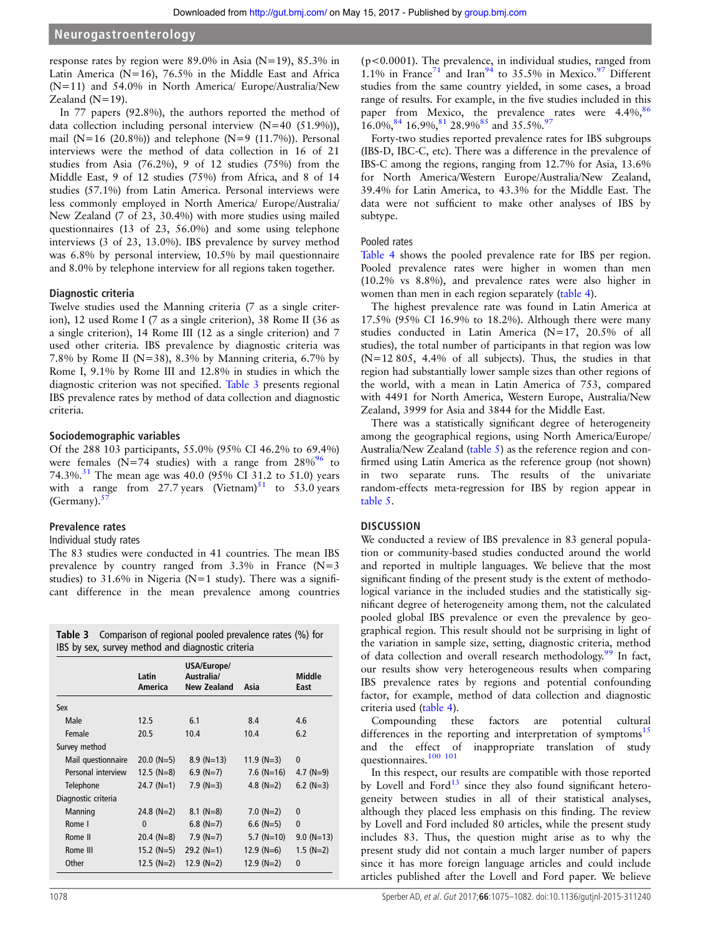response rates by region were 89.0% in Asia (N=19), 85.3% in Latin America ( $N=16$ ), 76.5% in the Middle East and Africa (N=11) and 54.0% in North America/ Europe/Australia/New Zealand (N=19).

In 77 papers (92.8%), the authors reported the method of data collection including personal interview (N=40 (51.9%)), mail (N=16 (20.8%)) and telephone (N=9 (11.7%)). Personal interviews were the method of data collection in 16 of 21 studies from Asia (76.2%), 9 of 12 studies (75%) from the Middle East, 9 of 12 studies (75%) from Africa, and 8 of 14 studies (57.1%) from Latin America. Personal interviews were less commonly employed in North America/ Europe/Australia/ New Zealand (7 of 23, 30.4%) with more studies using mailed questionnaires (13 of 23, 56.0%) and some using telephone interviews (3 of 23, 13.0%). IBS prevalence by survey method was 6.8% by personal interview, 10.5% by mail questionnaire and 8.0% by telephone interview for all regions taken together.

#### Diagnostic criteria

Twelve studies used the Manning criteria (7 as a single criterion), 12 used Rome I (7 as a single criterion), 38 Rome II (36 as a single criterion), 14 Rome III (12 as a single criterion) and 7 used other criteria. IBS prevalence by diagnostic criteria was 7.8% by Rome II (N=38), 8.3% by Manning criteria, 6.7% by Rome I, 9.1% by Rome III and 12.8% in studies in which the diagnostic criterion was not specified. Table 3 presents regional IBS prevalence rates by method of data collection and diagnostic criteria.

#### Sociodemographic variables

Of the 288 103 participants, 55.0% (95% CI 46.2% to 69.4%) were females (N=74 studies) with a range from  $28\%$ <sup>[96](#page-7-0)</sup> to 74.3%.<sup>[31](#page-6-0)</sup> The mean age was 40.0 (95% CI 31.2 to 51.0) years with a range from 27.7 years (Vietnam)<sup>[51](#page-6-0)</sup> to 53.0 years (Germany). $5$ 

#### Prevalence rates

#### Individual study rates

The 83 studies were conducted in 41 countries. The mean IBS prevalence by country ranged from  $3.3\%$  in France (N=3) studies) to  $31.6\%$  in Nigeria (N=1 study). There was a significant difference in the mean prevalence among countries

| <b>Table 3</b> Comparison of regional pooled prevalence rates (%) for<br>IBS by sex, survey method and diagnostic criteria |                  |                                          |              |                |  |
|----------------------------------------------------------------------------------------------------------------------------|------------------|------------------------------------------|--------------|----------------|--|
|                                                                                                                            | Latin<br>America | USA/Europe/<br>Australia/<br>New Zealand | Asia         | Middle<br>East |  |
| Sex                                                                                                                        |                  |                                          |              |                |  |
| Male                                                                                                                       | 12.5             | 6.1                                      | 8.4          | 4.6            |  |
| Female                                                                                                                     | 20.5             | 10.4                                     | 10.4         | 6.2            |  |
| Survey method                                                                                                              |                  |                                          |              |                |  |
| Mail questionnaire                                                                                                         | $20.0$ (N=5)     | $8.9$ (N=13)                             | $11.9 (N=3)$ | $\mathbf{0}$   |  |
| Personal interview                                                                                                         | $12.5$ (N=8)     | $6.9$ (N=7)                              | $7.6$ (N=16) | 4.7 ( $N=9$ )  |  |
| Telephone                                                                                                                  | $24.7 (N=1)$     | $7.9$ (N=3)                              | 4.8 $(N=2)$  | $6.2$ (N=3)    |  |
| Diagnostic criteria                                                                                                        |                  |                                          |              |                |  |
| Manning                                                                                                                    | 24.8 $(N=2)$     | $8.1$ (N=8)                              | $7.0 (N=2)$  | $\mathbf{0}$   |  |
| Rome I                                                                                                                     | $\mathbf{0}$     | $6.8$ (N=7)                              | $6.6$ (N=5)  | $\mathbf{0}$   |  |
| Rome II                                                                                                                    | $20.4$ (N=8)     | $7.9 (N=7)$                              | $5.7$ (N=10) | $9.0 (N=13)$   |  |
| Rome III                                                                                                                   | $15.2 (N=5)$     | $29.2 (N=1)$                             | $12.9$ (N=6) | $1.5$ (N=2)    |  |
| Other                                                                                                                      | $12.5$ (N=2)     | $12.9 (N=2)$                             | $12.9 (N=2)$ | $\mathbf{0}$   |  |

(p<0.0001). The prevalence, in individual studies, ranged from 1.1% in France<sup>71</sup> and Iran<sup>94</sup> to  $35.5\%$  in Mexico.<sup>[97](#page-7-0)</sup> Different studies from the same country yielded, in some cases, a broad range of results. For example, in the five studies included in this paper from Mexico, the prevalence rates were  $4.4\%$ ,<sup>8</sup>  $16.0\%,^{84}$   $16.9\%,^{81}$  $16.9\%,^{81}$  $16.9\%,^{81}$   $28.9\%^{85}$  $28.9\%^{85}$  $28.9\%^{85}$  and  $35.5\%$ .

Forty-two studies reported prevalence rates for IBS subgroups (IBS-D, IBC-C, etc). There was a difference in the prevalence of IBS-C among the regions, ranging from 12.7% for Asia, 13.6% for North America/Western Europe/Australia/New Zealand, 39.4% for Latin America, to 43.3% for the Middle East. The data were not sufficient to make other analyses of IBS by subtype.

#### Pooled rates

[Table 4](#page-4-0) shows the pooled prevalence rate for IBS per region. Pooled prevalence rates were higher in women than men (10.2% vs 8.8%), and prevalence rates were also higher in women than men in each region separately [\(table 4](#page-4-0)).

The highest prevalence rate was found in Latin America at 17.5% (95% CI 16.9% to 18.2%). Although there were many studies conducted in Latin America (N=17, 20.5% of all studies), the total number of participants in that region was low (N=12 805, 4.4% of all subjects). Thus, the studies in that region had substantially lower sample sizes than other regions of the world, with a mean in Latin America of 753, compared with 4491 for North America, Western Europe, Australia/New Zealand, 3999 for Asia and 3844 for the Middle East.

There was a statistically significant degree of heterogeneity among the geographical regions, using North America/Europe/ Australia/New Zealand [\(table 5](#page-4-0)) as the reference region and confirmed using Latin America as the reference group (not shown) in two separate runs. The results of the univariate random-effects meta-regression for IBS by region appear in [table 5.](#page-4-0)

#### **DISCUSSION**

We conducted a review of IBS prevalence in 83 general population or community-based studies conducted around the world and reported in multiple languages. We believe that the most significant finding of the present study is the extent of methodological variance in the included studies and the statistically significant degree of heterogeneity among them, not the calculated pooled global IBS prevalence or even the prevalence by geographical region. This result should not be surprising in light of the variation in sample size, setting, diagnostic criteria, method of data collection and overall research methodology.<sup>[99](#page-7-0)</sup> In fact, our results show very heterogeneous results when comparing IBS prevalence rates by regions and potential confounding factor, for example, method of data collection and diagnostic criteria used [\(table 4\)](#page-4-0).

Compounding these factors are potential cultural differences in the reporting and interpretation of symptoms<sup>[15](#page-5-0)</sup> and the effect of inappropriate translation of study questionnaires.<sup>100</sup> <sup>101</sup>

In this respect, our results are compatible with those reported by Lovell and Ford $13$  since they also found significant heterogeneity between studies in all of their statistical analyses, although they placed less emphasis on this finding. The review by Lovell and Ford included 80 articles, while the present study includes 83. Thus, the question might arise as to why the present study did not contain a much larger number of papers since it has more foreign language articles and could include articles published after the Lovell and Ford paper. We believe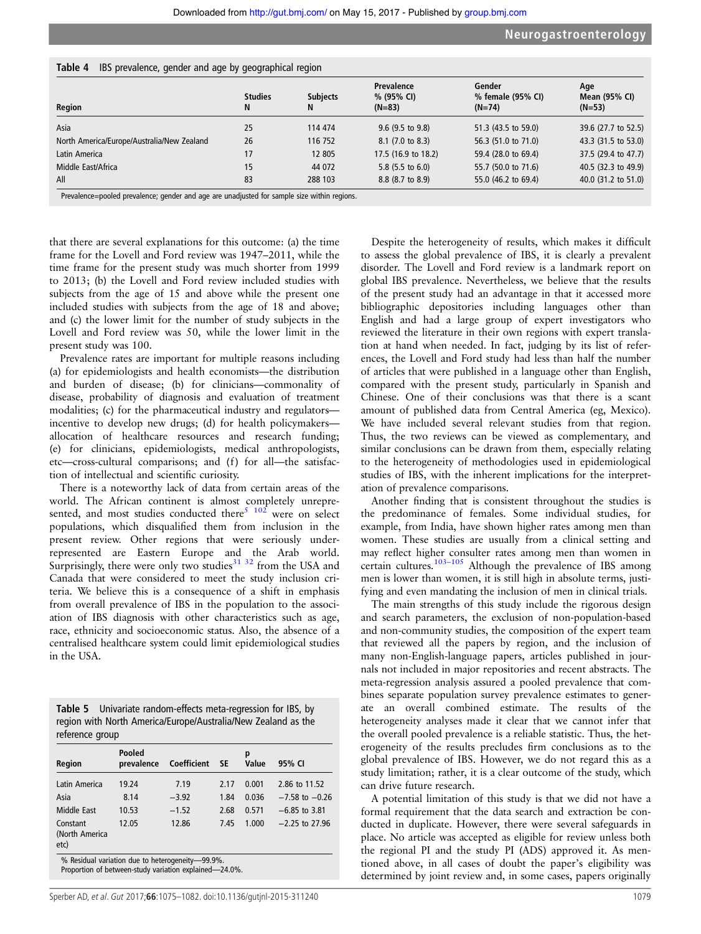| Region                                     | <b>Studies</b><br>N | <b>Subjects</b><br>N | Prevalence<br>% (95% CI)<br>$(N=83)$ | Gender<br>% female (95% CI)<br>$(N=74)$ | Age<br>Mean (95% CI)<br>$(N=53)$ |
|--------------------------------------------|---------------------|----------------------|--------------------------------------|-----------------------------------------|----------------------------------|
| Asia                                       | 25                  | 114 474              | $9.6$ (9.5 to 9.8)                   | 51.3 (43.5 to 59.0)                     | 39.6 (27.7 to 52.5)              |
| North America/Europe/Australia/New Zealand | 26                  | 116 752              | 8.1 (7.0 to 8.3)                     | 56.3 (51.0 to 71.0)                     | 43.3 (31.5 to 53.0)              |
| Latin America                              | 17                  | 12 805               | 17.5 (16.9 to 18.2)                  | 59.4 (28.0 to 69.4)                     | 37.5 (29.4 to 47.7)              |
| Middle East/Africa                         | 15                  | 44 0 72              | 5.8 $(5.5 \text{ to } 6.0)$          | 55.7 (50.0 to 71.6)                     | 40.5 (32.3 to 49.9)              |
| All                                        | 83                  | 288 103              | 8.8 (8.7 to 8.9)                     | 55.0 (46.2 to 69.4)                     | 40.0 (31.2 to 51.0)              |

<span id="page-4-0"></span>Table 4 IBS prevalence, gender and age by geographical region

Prevalence=pooled prevalence; gender and age are unadjusted for sample size within regions.

that there are several explanations for this outcome: (a) the time frame for the Lovell and Ford review was 1947–2011, while the time frame for the present study was much shorter from 1999 to 2013; (b) the Lovell and Ford review included studies with subjects from the age of 15 and above while the present one included studies with subjects from the age of 18 and above; and (c) the lower limit for the number of study subjects in the Lovell and Ford review was 50, while the lower limit in the present study was 100.

Prevalence rates are important for multiple reasons including (a) for epidemiologists and health economists—the distribution and burden of disease; (b) for clinicians—commonality of disease, probability of diagnosis and evaluation of treatment modalities; (c) for the pharmaceutical industry and regulators incentive to develop new drugs; (d) for health policymakers allocation of healthcare resources and research funding; (e) for clinicians, epidemiologists, medical anthropologists, etc—cross-cultural comparisons; and (f) for all—the satisfaction of intellectual and scientific curiosity.

There is a noteworthy lack of data from certain areas of the world. The African continent is almost completely unrepre-sented, and most studies conducted there<sup>[5](#page-5-0)</sup>  $102$  were on select populations, which disqualified them from inclusion in the present review. Other regions that were seriously underrepresented are Eastern Europe and the Arab world. Surprisingly, there were only two studies<sup>[31 32](#page-6-0)</sup> from the USA and Canada that were considered to meet the study inclusion criteria. We believe this is a consequence of a shift in emphasis from overall prevalence of IBS in the population to the association of IBS diagnosis with other characteristics such as age, race, ethnicity and socioeconomic status. Also, the absence of a centralised healthcare system could limit epidemiological studies in the USA.

|                 | Table 5 Univariate random-effects meta-regression for IBS, by |
|-----------------|---------------------------------------------------------------|
|                 | region with North America/Europe/Australia/New Zealand as the |
| reference group |                                                               |

| Pooled<br>prevalence | Coefficient |      | p<br>Value | 95% CI             |
|----------------------|-------------|------|------------|--------------------|
| 19.24                | 7.19        | 2.17 | 0.001      | 2.86 to 11.52      |
| 8.14                 | $-3.92$     | 1.84 | 0.036      | $-7.58$ to $-0.26$ |
| 10.53                | $-1.52$     | 2.68 | 0.571      | $-6.85$ to 3.81    |
| 12.05                | 12.86       | 7.45 | 1.000      | $-2.25$ to 27.96   |
|                      |             |      | - SE       |                    |

Proportion of between-study variation explained—24.0%.

Despite the heterogeneity of results, which makes it difficult to assess the global prevalence of IBS, it is clearly a prevalent disorder. The Lovell and Ford review is a landmark report on global IBS prevalence. Nevertheless, we believe that the results of the present study had an advantage in that it accessed more bibliographic depositories including languages other than English and had a large group of expert investigators who reviewed the literature in their own regions with expert translation at hand when needed. In fact, judging by its list of references, the Lovell and Ford study had less than half the number of articles that were published in a language other than English, compared with the present study, particularly in Spanish and Chinese. One of their conclusions was that there is a scant amount of published data from Central America (eg, Mexico). We have included several relevant studies from that region. Thus, the two reviews can be viewed as complementary, and similar conclusions can be drawn from them, especially relating to the heterogeneity of methodologies used in epidemiological studies of IBS, with the inherent implications for the interpretation of prevalence comparisons.

Another finding that is consistent throughout the studies is the predominance of females. Some individual studies, for example, from India, have shown higher rates among men than women. These studies are usually from a clinical setting and may reflect higher consulter rates among men than women in certain cultures.<sup>103–[105](#page-7-0)</sup> Although the prevalence of IBS among men is lower than women, it is still high in absolute terms, justifying and even mandating the inclusion of men in clinical trials.

The main strengths of this study include the rigorous design and search parameters, the exclusion of non-population-based and non-community studies, the composition of the expert team that reviewed all the papers by region, and the inclusion of many non-English-language papers, articles published in journals not included in major repositories and recent abstracts. The meta-regression analysis assured a pooled prevalence that combines separate population survey prevalence estimates to generate an overall combined estimate. The results of the heterogeneity analyses made it clear that we cannot infer that the overall pooled prevalence is a reliable statistic. Thus, the heterogeneity of the results precludes firm conclusions as to the global prevalence of IBS. However, we do not regard this as a study limitation; rather, it is a clear outcome of the study, which can drive future research.

A potential limitation of this study is that we did not have a formal requirement that the data search and extraction be conducted in duplicate. However, there were several safeguards in place. No article was accepted as eligible for review unless both the regional PI and the study PI (ADS) approved it. As mentioned above, in all cases of doubt the paper's eligibility was determined by joint review and, in some cases, papers originally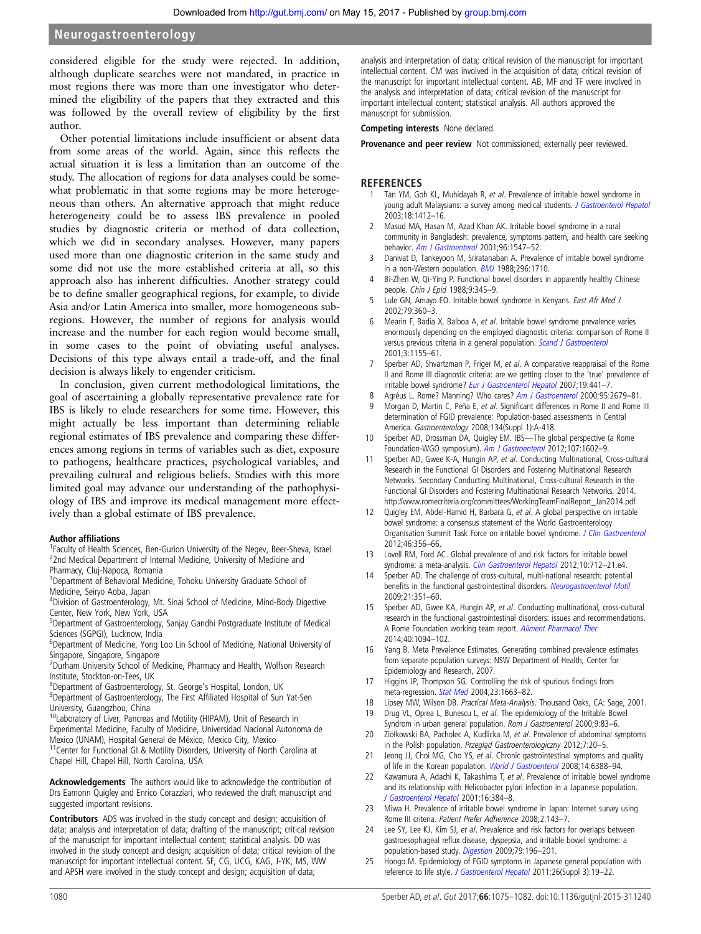<span id="page-5-0"></span>considered eligible for the study were rejected. In addition, although duplicate searches were not mandated, in practice in most regions there was more than one investigator who determined the eligibility of the papers that they extracted and this was followed by the overall review of eligibility by the first author.

Other potential limitations include insufficient or absent data from some areas of the world. Again, since this reflects the actual situation it is less a limitation than an outcome of the study. The allocation of regions for data analyses could be somewhat problematic in that some regions may be more heterogeneous than others. An alternative approach that might reduce heterogeneity could be to assess IBS prevalence in pooled studies by diagnostic criteria or method of data collection, which we did in secondary analyses. However, many papers used more than one diagnostic criterion in the same study and some did not use the more established criteria at all, so this approach also has inherent difficulties. Another strategy could be to define smaller geographical regions, for example, to divide Asia and/or Latin America into smaller, more homogeneous subregions. However, the number of regions for analysis would increase and the number for each region would become small, in some cases to the point of obviating useful analyses. Decisions of this type always entail a trade-off, and the final decision is always likely to engender criticism.

In conclusion, given current methodological limitations, the goal of ascertaining a globally representative prevalence rate for IBS is likely to elude researchers for some time. However, this might actually be less important than determining reliable regional estimates of IBS prevalence and comparing these differences among regions in terms of variables such as diet, exposure to pathogens, healthcare practices, psychological variables, and prevailing cultural and religious beliefs. Studies with this more limited goal may advance our understanding of the pathophysiology of IBS and improve its medical management more effectively than a global estimate of IBS prevalence.

#### Author affiliations <sup>1</sup>

<sup>1</sup> Faculty of Health Sciences, Ben-Gurion University of the Negev, Beer-Sheva, Israel <sup>2</sup>2nd Medical Department of Internal Medicine, University of Medicine and Pharmacy, Cluj-Napoca, Romania

<sup>3</sup>Department of Behavioral Medicine, Tohoku University Graduate School of Medicine, Seiryo Aoba, Japan

<sup>4</sup> Division of Gastroenterology, Mt. Sinai School of Medicine, Mind-Body Digestive Center, New York, New York, USA

<sup>5</sup>Department of Gastroenterology, Sanjay Gandhi Postgraduate Institute of Medical Sciences (SGPGI), Lucknow, India

<sup>6</sup>Department of Medicine, Yong Loo Lin School of Medicine, National University of Singapore, Singapore, Singapore

<sup>7</sup>Durham University School of Medicine, Pharmacy and Health, Wolfson Research Institute, Stockton-on-Tees, UK

- <sup>8</sup> Department of Gastroenterology, St. George's Hospital, London, UK<br><sup>9</sup> Department of Gastroenterology, The First Affiliated Hospital of Sun
- <sup>9</sup>Department of Gastroenterology, The First Affiliated Hospital of Sun Yat-Sen University, Guangzhou, China
- <sup>10</sup>Laboratory of Liver, Pancreas and Motility (HIPAM), Unit of Research in Experimental Medicine, Faculty of Medicine, Universidad Nacional Autonoma de Mexico (UNAM), Hospital General de México, Mexico City, Mexico<br><sup>11</sup>Center for Functional GI & Motility Disorders, University of North Carolina at

Chapel Hill, Chapel Hill, North Carolina, USA

Acknowledgements The authors would like to acknowledge the contribution of Drs Eamonn Quigley and Enrico Corazziari, who reviewed the draft manuscript and suggested important revisions.

Contributors ADS was involved in the study concept and design; acquisition of data; analysis and interpretation of data; drafting of the manuscript; critical revision of the manuscript for important intellectual content; statistical analysis. DD was involved in the study concept and design; acquisition of data; critical revision of the manuscript for important intellectual content. SF, CG, UCG, KAG, J-YK, MS, WW and APSH were involved in the study concept and design; acquisition of data;

analysis and interpretation of data; critical revision of the manuscript for important intellectual content. CM was involved in the acquisition of data; critical revision of the manuscript for important intellectual content. AB, MF and TF were involved in the analysis and interpretation of data; critical revision of the manuscript for important intellectual content; statistical analysis. All authors approved the manuscript for submission.

#### Competing interests None declared.

Provenance and peer review Not commissioned; externally peer reviewed.

#### **REFERENCES**

- 1 Tan YM, Goh KL, Muhidayah R, et al. Prevalence of irritable bowel syndrome in young adult Malaysians: a survey among medical students. [J Gastroenterol Hepatol](http://dx.doi.org/10.1046/j.1440-1746.2003.03212.x) 2003;18:1412–16.
- 2 Masud MA, Hasan M, Azad Khan AK. Irritable bowel syndrome in a rural community in Bangladesh: prevalence, symptoms pattern, and health care seeking behavior. [Am J Gastroenterol](http://dx.doi.org/10.1111/j.1572-0241.2001.03760.x) 2001;96:1547–52.
- Danivat D, Tankeyoon M, Sriratanaban A. Prevalence of irritable bowel syndrome in a non-Western population. **[BMJ](http://dx.doi.org/10.1136/bmj.296.6638.1710) 1988**;296:1710.
- 4 Bi-Zhen W, Qi-Ying P. Functional bowel disorders in apparently healthy Chinese people. Chin J Epid 1988;9:345–9.
- 5 Lule GN, Amayo EO. Irritable bowel syndrome in Kenyans. East Afr Med J 2002;79:360–3.
- 6 Mearin F, Badia X, Balboa A, et al. Irritable bowel syndrome prevalence varies enormously depending on the employed diagnostic criteria: comparison of Rome II versus previous criteria in a general population. [Scand J Gastroenterol](http://dx.doi.org/10.1080/00365520152584770) 2001;3:1155–61.
- 7 Sperber AD, Shvartzman P, Friger M, et al. A comparative reappraisal of the Rome II and Rome III diagnostic criteria: are we getting closer to the 'true' prevalence of irritable bowel syndrome? [Eur J Gastroenterol Hepatol](http://dx.doi.org/10.1097/MEG.0b013e32801140e2) 2007;19:441-7.
- 8 Agréus L. Rome? Manning? Who cares? [Am J Gastroenterol](http://dx.doi.org/10.1111/j.1572-0241.2000.03171.x) 2000;95:2679-81.
- 9 Morgan D, Martin C, Peña E, et al. Significant differences in Rome II and Rome III determination of FGID prevalence: Population-based assessments in Central America. Gastroenterology 2008;134(Suppl 1):A-418.
- 10 Sperber AD, Drossman DA, Quigley EM. IBS—The global perspective (a Rome Foundation-WGO symposium). [Am J Gastroenterol](http://dx.doi.org/10.1038/ajg.2012.106) 2012;107:1602–9.
- 11 Sperber AD, Gwee K-A, Hungin AP, et al. Conducting Multinational, Cross-cultural Research in the Functional GI Disorders and Fostering Multinational Research Networks. Secondary Conducting Multinational, Cross-cultural Research in the Functional GI Disorders and Fostering Multinational Research Networks. 2014. [http://www.romecriteria.org/committees/WorkingTeamFinalReport\\_Jan2014.pdf](http://www.romecriteria.org/committees/WorkingTeamFinalReport_Jan2014.pdf)
- 12 Quigley EM, Abdel-Hamid H, Barbara G, et al. A global perspective on irritable bowel syndrome: a consensus statement of the World Gastroenterology Organisation Summit Task Force on irritable bowel syndrome. [J Clin Gastroenterol](http://dx.doi.org/10.1097/MCG.0b013e318247157c) 2012;46:356–66.
- 13 Lovell RM, Ford AC. Global prevalence of and risk factors for irritable bowel syndrome: a meta-analysis. [Clin Gastroenterol Hepatol](http://dx.doi.org/10.1016/j.cgh.2012.02.029) 2012;10:712-21.e4.
- 14 Sperber AD. The challenge of cross-cultural, multi-national research: potential benefits in the functional gastrointestinal disorders. [Neurogastroenterol Motil](http://dx.doi.org/10.1111/j.1365-2982.2009.01276.x) 2009;21:351–60.
- 15 Sperber AD, Gwee KA, Hungin AP, et al. Conducting multinational, cross-cultural research in the functional gastrointestinal disorders: issues and recommendations. A Rome Foundation working team report. [Aliment Pharmacol Ther](http://dx.doi.org/10.1111/apt.12942) 2014;40:1094–102.
- 16 Yang B. Meta Prevalence Estimates. Generating combined prevalence estimates from separate population surveys: NSW Department of Health, Center for Epidemiology and Research, 2007.
- 17 Higgins JP, Thompson SG. Controlling the risk of spurious findings from meta-regression. *[Stat Med](http://dx.doi.org/10.1002/sim.1752)* 2004:23:1663-82.
- 18 Lipsey MW, Wilson DB. Practical Meta-Analysis. Thousand Oaks, CA: Sage, 2001.
- 19 Drug VL, Oprea L, Bunescu L, et al. The epidemiology of the Irritable Bowel Syndrom in urban general population. Rom J Gastroenterol 2000;9:83-6.
- 20 Ziółkowski BA, Pacholec A, Kudlicka M, et al. Prevalence of abdominal symptoms in the Polish population. Przegląd Gastroenterologiczny 2012;7:20–5.
- 21 Jeong JJ, Choi MG, Cho YS, et al. Chronic gastrointestinal symptoms and quality of life in the Korean population. [World J Gastroenterol](http://dx.doi.org/10.3748/wjg.14.6388) 2008;14:6388-94.
- 22 Kawamura A, Adachi K, Takashima T, et al. Prevalence of irritable bowel syndrome and its relationship with Helicobacter pylori infection in a Japanese population. [J Gastroenterol Hepatol](http://dx.doi.org/10.1046/j.1440-1746.2001.02454.x) 2001;16:384–8.
- 23 Miwa H. Prevalence of irritable bowel syndrome in Japan: Internet survey using Rome III criteria. Patient Prefer Adherence 2008;2:143–7.
- 24 Lee SY, Lee KJ, Kim SJ, et al. Prevalence and risk factors for overlaps between gastroesophageal reflux disease, dyspepsia, and irritable bowel syndrome: a population-based study. [Digestion](http://dx.doi.org/10.1159/000211715) 2009;79:196–201.
- 25 Hongo M. Epidemiology of FGID symptoms in Japanese general population with reference to life style. [J Gastroenterol Hepatol](http://dx.doi.org/10.1111/j.1440-1746.2011.06632.x) 2011;26(Suppl 3):19–22.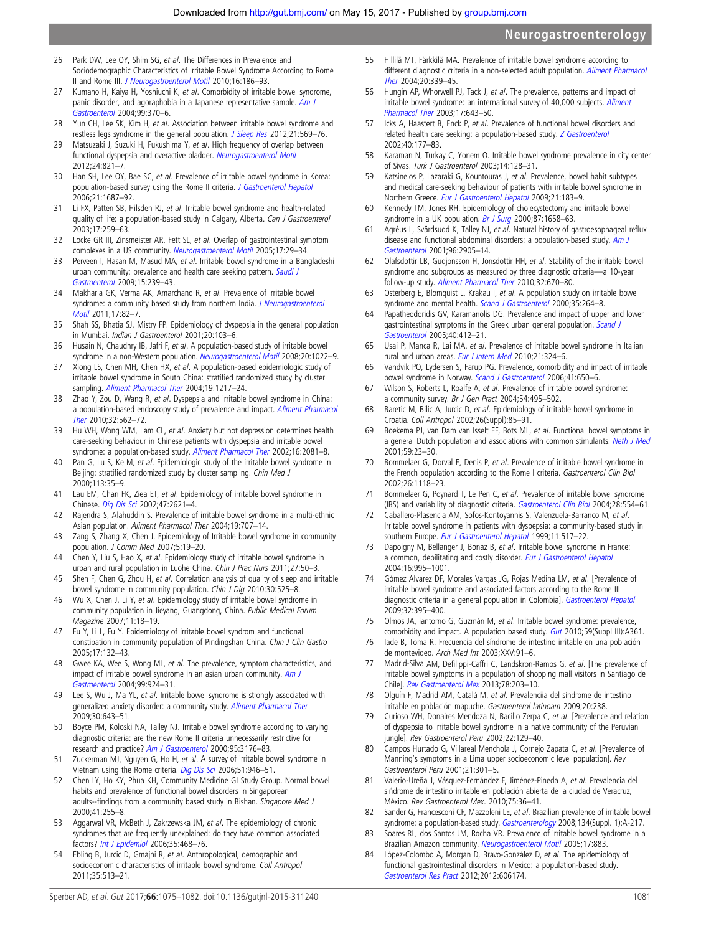- <span id="page-6-0"></span>26 Park DW, Lee OY, Shim SG, et al. The Differences in Prevalence and Sociodemographic Characteristics of Irritable Bowel Syndrome According to Rome II and Rome III. [J Neurogastroenterol Motil](http://dx.doi.org/10.5056/jnm.2010.16.2.186) 2010;16:186–93.
- 27 Kumano H, Kaiya H, Yoshiuchi K, et al. Comorbidity of irritable bowel syndrome, panic disorder, and agoraphobia in a Japanese representative sample. [Am J](http://dx.doi.org/10.1111/j.1572-0241.2004.04048.x) [Gastroenterol](http://dx.doi.org/10.1111/j.1572-0241.2004.04048.x) 2004;99:370–6.
- 28 Yun CH, Lee SK, Kim H, et al. Association between irritable bowel syndrome and restless legs syndrome in the general population. [J Sleep Res](http://dx.doi.org/10.1111/j.1365-2869.2012.01011.x) 2012;21:569-76.
- 29 Matsuzaki J, Suzuki H, Fukushima Y, et al. High frequency of overlap between functional dyspepsia and overactive bladder. [Neurogastroenterol Motil](http://dx.doi.org/10.1111/j.1365-2982.2012.01939.x) 2012;24:821–7.
- 30 Han SH, Lee OY, Bae SC, et al. Prevalence of irritable bowel syndrome in Korea: population-based survey using the Rome II criteria. [J Gastroenterol Hepatol](http://dx.doi.org/10.1111/j.1440-1746.2006.04269.x) 2006;21:1687–92.
- 31 Li FX, Patten SB, Hilsden RJ, et al. Irritable bowel syndrome and health-related quality of life: a population-based study in Calgary, Alberta. Can J Gastroenterol 2003;17:259–63.
- 32 Locke GR III, Zinsmeister AR, Fett SL, et al. Overlap of gastrointestinal symptom complexes in a US community. [Neurogastroenterol Motil](http://dx.doi.org/10.1111/j.1365-2982.2004.00581.x) 2005;17:29-34.
- 33 Perveen I, Hasan M, Masud MA, et al. Irritable bowel syndrome in a Bangladeshi urban community: prevalence and health care seeking pattern. [Saudi J](http://dx.doi.org/10.4103/1319-3767.56099) [Gastroenterol](http://dx.doi.org/10.4103/1319-3767.56099) 2009;15:239–43.
- 34 Makharia GK, Verma AK, Amarchand R, et al. Prevalence of irritable bowel syndrome: a community based study from northern India. [J Neurogastroenterol](http://dx.doi.org/10.5056/jnm.2011.17.1.82) [Motil](http://dx.doi.org/10.5056/jnm.2011.17.1.82) 2011;17:82–7.
- 35 Shah SS, Bhatia SJ, Mistry FP. Epidemiology of dyspepsia in the general population in Mumbai. Indian J Gastroenterol 2001;20:103–6.
- 36 Husain N, Chaudhry IB, Jafri F, et al. A population-based study of irritable bowel syndrome in a non-Western population. [Neurogastroenterol Motil](http://dx.doi.org/10.1111/j.1365-2982.2008.01143.x) 2008;20:1022-9.
- 37 Xiong LS, Chen MH, Chen HX, et al. A population-based epidemiologic study of irritable bowel syndrome in South China: stratified randomized study by cluster sampling. [Aliment Pharmacol Ther](http://dx.doi.org/10.1111/j.1365-2036.2004.01939.x) 2004;19:1217-24.
- 38 Zhao Y, Zou D, Wang R, et al. Dyspepsia and irritable bowel syndrome in China: a population-based endoscopy study of prevalence and impact. [Aliment Pharmacol](http://dx.doi.org/10.1111/j.1365-2036.2010.04376.x) [Ther](http://dx.doi.org/10.1111/j.1365-2036.2010.04376.x) 2010;32:562–72.
- 39 Hu WH, Wong WM, Lam CL, et al. Anxiety but not depression determines health care-seeking behaviour in Chinese patients with dyspepsia and irritable bowel syndrome: a population-based study. [Aliment Pharmacol Ther](http://dx.doi.org/10.1046/j.1365-2036.2002.01377.x) 2002;16:2081-8.
- 40 Pan G, Lu S, Ke M, et al. Epidemiologic study of the irritable bowel syndrome in Beijing: stratified randomized study by cluster sampling. Chin Med J 2000;113:35–9.
- 41 Lau EM, Chan FK, Ziea ET, et al. Epidemiology of irritable bowel syndrome in Chinese. [Dig Dis Sci](http://dx.doi.org/10.1023/A:1020549118299) 2002;47:2621–4.
- 42 Rajendra S, Alahuddin S. Prevalence of irritable bowel syndrome in a multi-ethnic Asian population. Aliment Pharmacol Ther 2004;19:707–14.
- 43 Zang S, Zhang X, Chen J. Epidemiology of Irritable bowel syndrome in community population. J Comm Med 2007;5:19–20.
- 44 Chen Y, Liu S, Hao X, et al. Epidemiology study of irritable bowel syndrome in urban and rural population in Luohe China. Chin J Prac Nurs 2011;27:50–3.
- 45 Shen F, Chen G, Zhou H, et al. Correlation analysis of quality of sleep and irritable bowel syndrome in community population. Chin J Dig 2010;30:525–8.
- 46 Wu X, Chen J, Li Y, et al. Epidemiology study of irritable bowel syndrome in community population in Jieyang, Guangdong, China. Public Medical Forum Magazine 2007;11:18–19.
- 47 Fu Y, Li L, Fu Y. Epidemiology of irritable bowel syndrom and functional constipation in community population of Pindingshan China. Chin J Clin Gastro 2005;17:132–43.
- 48 Gwee KA, Wee S, Wong ML, et al. The prevalence, symptom characteristics, and impact of irritable bowel syndrome in an asian urban community. [Am J](http://dx.doi.org/10.1111/j.1572-0241.2004.04161.x) [Gastroenterol](http://dx.doi.org/10.1111/j.1572-0241.2004.04161.x) 2004;99:924–31.
- 49 Lee S, Wu J, Ma YL, et al. Irritable bowel syndrome is strongly associated with generalized anxiety disorder: a community study. [Aliment Pharmacol Ther](http://dx.doi.org/10.1111/j.1365-2036.2009.04074.x) 2009;30:643–51.
- 50 Boyce PM, Koloski NA, Talley NJ. Irritable bowel syndrome according to varying diagnostic criteria: are the new Rome II criteria unnecessarily restrictive for research and practice? [Am J Gastroenterol](http://dx.doi.org/10.1111/j.1572-0241.2000.03197.x) 2000;95:3176-83.
- 51 Zuckerman MJ, Nguyen G, Ho H, et al. A survey of irritable bowel syndrome in Vietnam using the Rome criteria. [Dig Dis Sci](http://dx.doi.org/10.1007/s10620-005-9005-0) 2006;51:946–51.
- 52 Chen LY, Ho KY, Phua KH, Community Medicine GI Study Group. Normal bowel habits and prevalence of functional bowel disorders in Singaporean adults--findings from a community based study in Bishan. Singapore Med J 2000;41:255–8.
- 53 Aggarwal VR, McBeth J, Zakrzewska JM, et al. The epidemiology of chronic syndromes that are frequently unexplained: do they have common associated factors? [Int J Epidemiol](http://dx.doi.org/10.1093/ije/dyi265) 2006;35:468–76.
- 54 Ebling B, Jurcic D, Gmajni R, et al. Anthropological, demographic and socioeconomic characteristics of irritable bowel syndrome. Coll Antropol 2011;35:513–21.
- 55 Hillilä MT, Färkkilä MA. Prevalence of irritable bowel syndrome according to different diagnostic criteria in a non-selected adult population. [Aliment Pharmacol](http://dx.doi.org/10.1111/j.1365-2036.2004.02034.x) [Ther](http://dx.doi.org/10.1111/j.1365-2036.2004.02034.x) 2004;20:339–45.
- 56 Hungin AP, Whorwell PJ, Tack J, et al. The prevalence, patterns and impact of irritable bowel syndrome: an international survey of 40,000 subjects. [Aliment](http://dx.doi.org/10.1046/j.1365-2036.2003.01456.x) [Pharmacol Ther](http://dx.doi.org/10.1046/j.1365-2036.2003.01456.x) 2003;17:643–50.
- 57 Icks A, Haastert B, Enck P, et al. Prevalence of functional bowel disorders and related health care seeking: a population-based study. [Z Gastroenterol](http://dx.doi.org/10.1055/s-2002-22324) 2002;40:177–83.
- 58 Karaman N, Turkay C, Yonem O. Irritable bowel syndrome prevalence in city center of Sivas. Turk J Gastroenterol 2003;14:128–31.
- 59 Katsinelos P, Lazaraki G, Kountouras J, et al. Prevalence, bowel habit subtypes and medical care-seeking behaviour of patients with irritable bowel syndrome in Northern Greece. [Eur J Gastroenterol Hepatol](http://dx.doi.org/10.1097/MEG.0b013e328312eb97) 2009;21:183–9.
- 60 Kennedy TM, Jones RH. Epidemiology of cholecystectomy and irritable bowel syndrome in a UK population. [Br J Surg](http://dx.doi.org/10.1046/j.1365-2168.2000.01596.x) 2000;87:1658-63.
- 61 Agréus L, Svärdsudd K, Talley NJ, et al. Natural history of gastroesophageal reflux disease and functional abdominal disorders: a population-based study. [Am J](http://dx.doi.org/10.1111/j.1572-0241.2001.04680.x) [Gastroenterol](http://dx.doi.org/10.1111/j.1572-0241.2001.04680.x) 2001;96:2905–14.
- 62 Olafsdottir LB, Gudjonsson H, Jonsdottir HH, et al. Stability of the irritable bowel syndrome and subgroups as measured by three diagnostic criteria—a 10-year follow-up study. [Aliment Pharmacol Ther](http://dx.doi.org/10.1111/j.1365-2036.2010.04388.x) 2010;32:670–80.
- 63 Osterberg E, Blomquist L, Krakau I, et al. A population study on irritable bowel syndrome and mental health. [Scand J Gastroenterol](http://dx.doi.org/10.1080/003655200750024128) 2000;35:264-8.
- 64 Papatheodoridis GV, Karamanolis DG. Prevalence and impact of upper and lower gastrointestinal symptoms in the Greek urban general population. [Scand J](http://dx.doi.org/10.1080/00365520510012271) [Gastroenterol](http://dx.doi.org/10.1080/00365520510012271) 2005;40:412–21.
- 65 Usai P, Manca R, Lai MA, et al. Prevalence of irritable bowel syndrome in Italian rural and urban areas. [Eur J Intern Med](http://dx.doi.org/10.1016/j.ejim.2010.05.009) 2010;21:324-6.
- 66 Vandvik PO, Lydersen S, Farup PG. Prevalence, comorbidity and impact of irritable bowel syndrome in Norway. [Scand J Gastroenterol](http://dx.doi.org/10.1080/00365520500442542) 2006;41:650-6.
- 67 Wilson S, Roberts L, Roalfe A, et al. Prevalence of irritable bowel syndrome: a community survey. Br J Gen Pract 2004;54:495–502.
- 68 Baretic M, Bilic A, Jurcic D, et al. Epidemiology of irritable bowel syndrome in Croatia. Coll Antropol 2002;26(Suppl):85–91.
- 69 Boekema PJ, van Dam van Isselt EF, Bots ML, et al. Functional bowel symptoms in a general Dutch population and associations with common stimulants. [Neth J Med](http://dx.doi.org/10.1016/S0300-2977(01)00128-0) 2001;59:23–30.
- 70 Bommelaer G, Dorval E, Denis P, et al. Prevalence of irritable bowel syndrome in the French population according to the Rome I criteria. Gastroenterol Clin Biol 2002;26:1118–23.
- 71 Bommelaer G, Poynard T, Le Pen C, et al. Prevalence of irritable bowel syndrome (IBS) and variability of diagnostic criteria. [Gastroenterol Clin Biol](http://dx.doi.org/10.1016/S0399-8320(04)95011-7) 2004;28:554–61.
- 72 Caballero-Plasencia AM, Sofos-Kontoyannis S, Valenzuela-Barranco M, et al. Irritable bowel syndrome in patients with dyspepsia: a community-based study in southern Europe. [Eur J Gastroenterol Hepatol](http://dx.doi.org/10.1097/00042737-199905000-00009) 1999;11:517-22.
- 73 Dapoigny M, Bellanger J, Bonaz B, et al. Irritable bowel syndrome in France: a common, debilitating and costly disorder. [Eur J Gastroenterol Hepatol](http://dx.doi.org/10.1097/00042737-200410000-00008) 2004;16:995–1001.
- 74 Gómez Alvarez DF, Morales Vargas JG, Rojas Medina LM, et al. [Prevalence of irritable bowel syndrome and associated factors according to the Rome III diagnostic criteria in a general population in Colombia]. [Gastroenterol Hepatol](http://dx.doi.org/10.1016/j.gastrohep.2009.01.177) 2009;32:395–400.
- 75 Olmos JA, iantorno G, Guzmán M, et al. Irritable bowel syndrome: prevalence, comorbidity and impact. A population based study. [Gut](http://dx.doi.org/10.1136/gut.2009.208991i) 2010;59(Suppl III):A361.
- 76 Iade B, Toma R. Frecuencia del síndrome de intestino irritable en una población de montevideo. Arch Med Int 2003;XXV:91–6.
- 77 Madrid-Silva AM, Defilippi-Caffri C, Landskron-Ramos G, et al. [The prevalence of irritable bowel symptoms in a population of shopping mall visitors in Santiago de Chile]. [Rev Gastroenterol Mex](http://dx.doi.org/10.1016/j.rgmx.2013.07.004) 2013;78:203–10.
- 78 Olguín F, Madrid AM, Catalá M, et al. Prevalenciia del síndrome de intestino irritable en población mapuche. Gastroenterol latinoam 2009;20:238.
- 79 Curioso WH, Donaires Mendoza N, Bacilio Zerpa C, et al. [Prevalence and relation of dyspepsia to irritable bowel syndrome in a native community of the Peruvian jungle]. Rev Gastroenterol Peru 2002;22:129–40.
- 80 Campos Hurtado G, Villareal Menchola J, Cornejo Zapata C, et al. [Prevalence of Manning's symptoms in a Lima upper socioeconomic level population]. Rev Gastroenterol Peru 2001;21:301–5.
- 81 Valerio-Ureña J, Vásquez-Fernández F, Jiménez-Pineda A, et al. Prevalencia del sińdrome de intestino irritable en población abierta de la ciudad de Veracruz, México. Rev Gastroenterol Mex. 2010;75:36–41.
- 82 Sander G, Francesconi CF, Mazzoleni LE, et al. Brazilian prevalence of irritable bowel syndrome: a population-based study. [Gastroenterology](http://dx.doi.org/10.1016/S0016-5085(08)61001-X) 2008;134(Suppl. 1):A-217.
- 83 Soares RL, dos Santos JM, Rocha VR. Prevalence of irritable bowel syndrome in a Brazilian Amazon community. [Neurogastroenterol Motil](http://dx.doi.org/10.1111/j.1365-2982.2005.00722.x) 2005;17:883.
- 84 López-Colombo A, Morgan D, Bravo-González D, et al. The epidemiology of functional gastrointestinal disorders in Mexico: a population-based study. [Gastroenterol Res Pract](http://dx.doi.org/10.1155/2012/606174) 2012;2012:606174.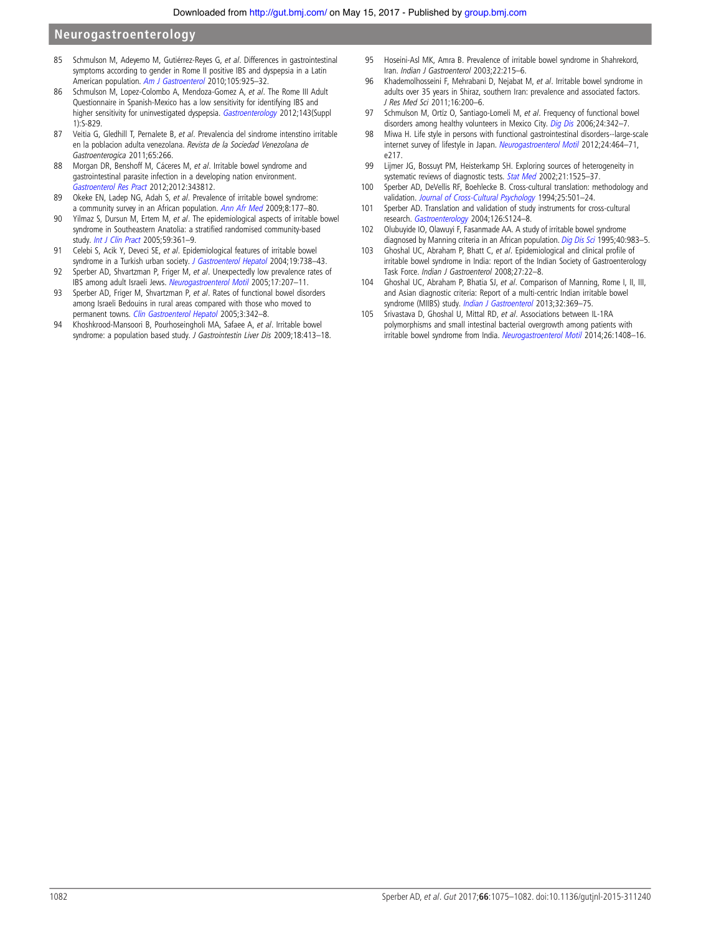- <span id="page-7-0"></span>85 Schmulson M, Adeyemo M, Gutiérrez-Reyes G, et al. Differences in gastrointestinal symptoms according to gender in Rome II positive IBS and dyspepsia in a Latin American population. [Am J Gastroenterol](http://dx.doi.org/10.1038/ajg.2010.58) 2010;105:925-32.
- 86 Schmulson M, Lopez-Colombo A, Mendoza-Gomez A, et al. The Rome III Adult Questionnaire in Spanish-Mexico has a low sensitivity for identifying IBS and higher sensitivity for uninvestigated dyspepsia. [Gastroenterology](http://dx.doi.org/10.1016/S0016-5085(12)63220-X) 2012;143(Suppl 1):S-829.
- 87 Veitia G, Gledhill T, Pernalete B, et al. Prevalencia del sindrome intenstino irritable en la poblacion adulta venezolana. Revista de la Sociedad Venezolana de Gastroenterogica 2011;65:266.
- 88 Morgan DR, Benshoff M, Cáceres M, et al. Irritable bowel syndrome and gastrointestinal parasite infection in a developing nation environment. [Gastroenterol Res Pract](http://dx.doi.org/10.1155/2012/343812) 2012;2012:343812.
- 89 Okeke EN, Ladep NG, Adah S, et al. Prevalence of irritable bowel syndrome: a community survey in an African population. [Ann Afr Med](http://dx.doi.org/10.4103/1596-3519.57241) 2009;8:177–80.
- 90 Yilmaz S, Dursun M, Ertem M, et al. The epidemiological aspects of irritable bowel syndrome in Southeastern Anatolia: a stratified randomised community-based study. [Int J Clin Pract](http://dx.doi.org/10.1111/j.1742-1241.2004.00377.x) 2005;59:361–9.
- 91 Celebi S, Acik Y, Deveci SE, et al. Epidemiological features of irritable bowel syndrome in a Turkish urban society. [J Gastroenterol Hepatol](http://dx.doi.org/10.1111/j.1440-1746.2004.03367.x) 2004;19:738-43.
- 92 Sperber AD, Shvartzman P, Friger M, et al. Unexpectedly low prevalence rates of IBS among adult Israeli Jews. [Neurogastroenterol Motil](http://dx.doi.org/10.1111/j.1365-2982.2005.00623.x) 2005;17:207–11.
- 93 Sperber AD, Friger M, Shvartzman P, et al. Rates of functional bowel disorders among Israeli Bedouins in rural areas compared with those who moved to permanent towns. [Clin Gastroenterol Hepatol](http://dx.doi.org/10.1016/S1542-3565(04)00553-1) 2005;3:342–8.
- 94 Khoshkrood-Mansoori B, Pourhoseingholi MA, Safaee A, et al. Irritable bowel syndrome: a population based study. J Gastrointestin Liver Dis 2009;18:413-18.
- 95 Hoseini-Asl MK, Amra B. Prevalence of irritable bowel syndrome in Shahrekord, Iran. Indian J Gastroenterol 2003;22:215-6.
- 96 Khademolhosseini F, Mehrabani D, Nejabat M, et al. Irritable bowel syndrome in adults over 35 years in Shiraz, southern Iran: prevalence and associated factors. J Res Med Sci 2011;16:200–6.
- 97 Schmulson M, Ortíz O, Santiago-Lomeli M, et al. Frequency of functional bowel disorders among healthy volunteers in Mexico City. [Dig Dis](http://dx.doi.org/10.1159/000092887) 2006;24:342-7.
- 98 Miwa H. Life style in persons with functional gastrointestinal disorders--large-scale internet survey of lifestyle in Japan. [Neurogastroenterol Motil](http://dx.doi.org/10.1111/j.1365-2982.2011.01872.x) 2012;24:464-71, e217.
- 99 Lijmer JG, Bossuyt PM, Heisterkamp SH. Exploring sources of heterogeneity in systematic reviews of diagnostic tests. [Stat Med](http://dx.doi.org/10.1002/sim.1185) 2002;21:1525–37.
- 100 Sperber AD, DeVellis RF, Boehlecke B. Cross-cultural translation: methodology and validation. [Journal of Cross-Cultural Psychology](http://dx.doi.org/10.1177/0022022194254006) 1994;25:501-24.
- 101 Sperber AD. Translation and validation of study instruments for cross-cultural research. [Gastroenterology](http://dx.doi.org/10.1053/j.gastro.2003.10.016) 2004;126:S124–8.
- 102 Olubuyide IO, Olawuyi F, Fasanmade AA. A study of irritable bowel syndrome diagnosed by Manning criteria in an African population. [Dig Dis Sci](http://dx.doi.org/10.1007/BF02064186) 1995;40:983-5.
- 103 Ghoshal UC, Abraham P, Bhatt C, et al. Epidemiological and clinical profile of irritable bowel syndrome in India: report of the Indian Society of Gastroenterology Task Force. Indian J Gastroenterol 2008;27:22–8.
- 104 Ghoshal UC, Abraham P, Bhatia SJ, et al. Comparison of Manning, Rome I, II, III, and Asian diagnostic criteria: Report of a multi-centric Indian irritable bowel syndrome (MIIBS) study. [Indian J Gastroenterol](http://dx.doi.org/10.1007/s12664-013-0365-7) 2013;32:369-75.
- 105 Srivastava D, Ghoshal U, Mittal RD, et al. Associations between IL-1RA polymorphisms and small intestinal bacterial overgrowth among patients with irritable bowel syndrome from India. [Neurogastroenterol Motil](http://dx.doi.org/10.1111/nmo.12399) 2014;26:1408-16.